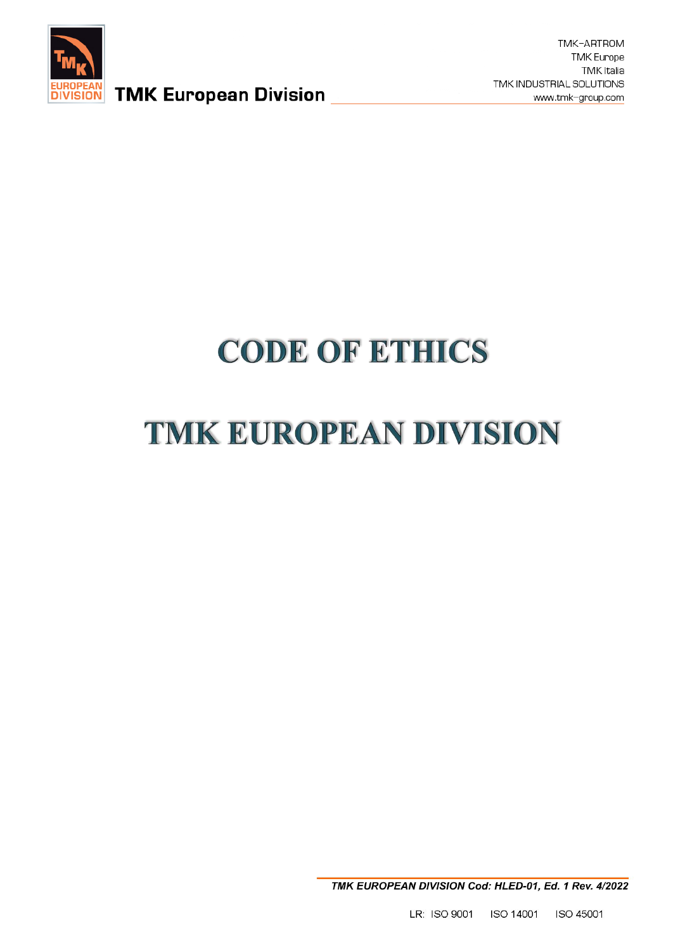

**EUROPEAN** TMK European Division

TMK-ARTROM **TMK Europe TMK Italia** TMK INDUSTRIAL SOLUTIONS www.tmk-group.com

# **CODE OF ETHICS**

## **TMK EUROPEAN DIVISION**

TMK EUROPEAN DIVISION Cod: HLED-01, Ed. 1 Rev. 4/2022

LR: ISO 9001 ISO 14001 ISO 45001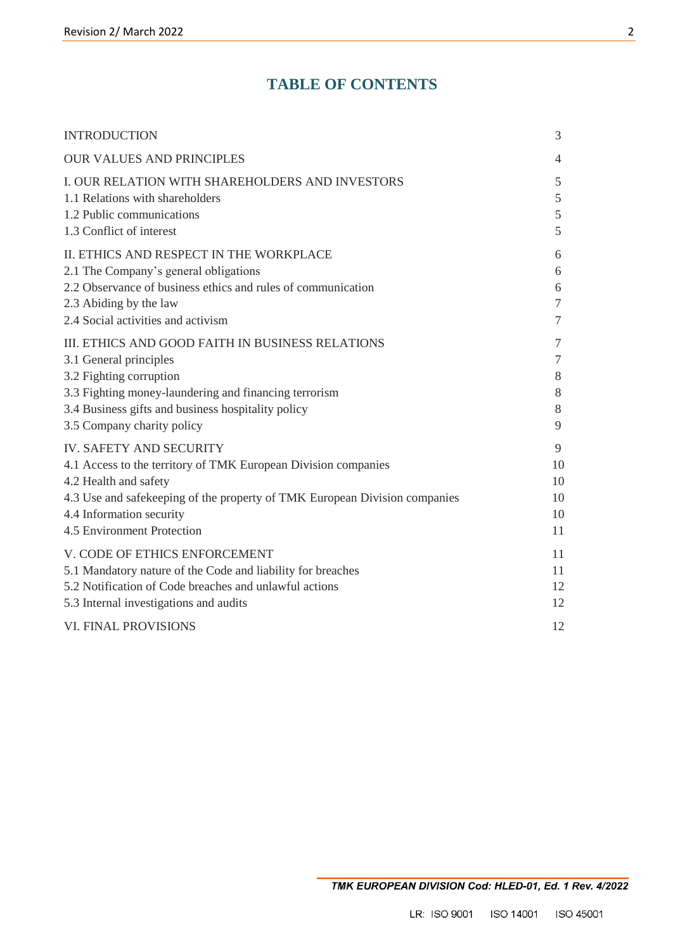## **TABLE OF CONTENTS**

| <b>INTRODUCTION</b>                                                        | 3              |
|----------------------------------------------------------------------------|----------------|
| <b>OUR VALUES AND PRINCIPLES</b>                                           | $\overline{4}$ |
| I. OUR RELATION WITH SHAREHOLDERS AND INVESTORS                            | 5              |
| 1.1 Relations with shareholders                                            | 5              |
| 1.2 Public communications                                                  | $\mathfrak s$  |
| 1.3 Conflict of interest                                                   | 5              |
| II. ETHICS AND RESPECT IN THE WORKPLACE                                    | 6              |
| 2.1 The Company's general obligations                                      | 6              |
| 2.2 Observance of business ethics and rules of communication               | 6              |
| 2.3 Abiding by the law                                                     | $\tau$         |
| 2.4 Social activities and activism                                         | $\overline{7}$ |
| III. ETHICS AND GOOD FAITH IN BUSINESS RELATIONS                           | $\overline{7}$ |
| 3.1 General principles                                                     | $\tau$         |
| 3.2 Fighting corruption                                                    | 8              |
| 3.3 Fighting money-laundering and financing terrorism                      | 8              |
| 3.4 Business gifts and business hospitality policy                         | 8              |
| 3.5 Company charity policy                                                 | 9              |
| <b>IV. SAFETY AND SECURITY</b>                                             | 9              |
| 4.1 Access to the territory of TMK European Division companies             | 10             |
| 4.2 Health and safety                                                      | 10             |
| 4.3 Use and safekeeping of the property of TMK European Division companies | 10             |
| 4.4 Information security                                                   | 10             |
| 4.5 Environment Protection                                                 | 11             |
| V. CODE OF ETHICS ENFORCEMENT                                              | 11             |
| 5.1 Mandatory nature of the Code and liability for breaches                | 11             |
| 5.2 Notification of Code breaches and unlawful actions                     | 12             |
| 5.3 Internal investigations and audits                                     | 12             |
| <b>VI. FINAL PROVISIONS</b>                                                | 12             |
|                                                                            |                |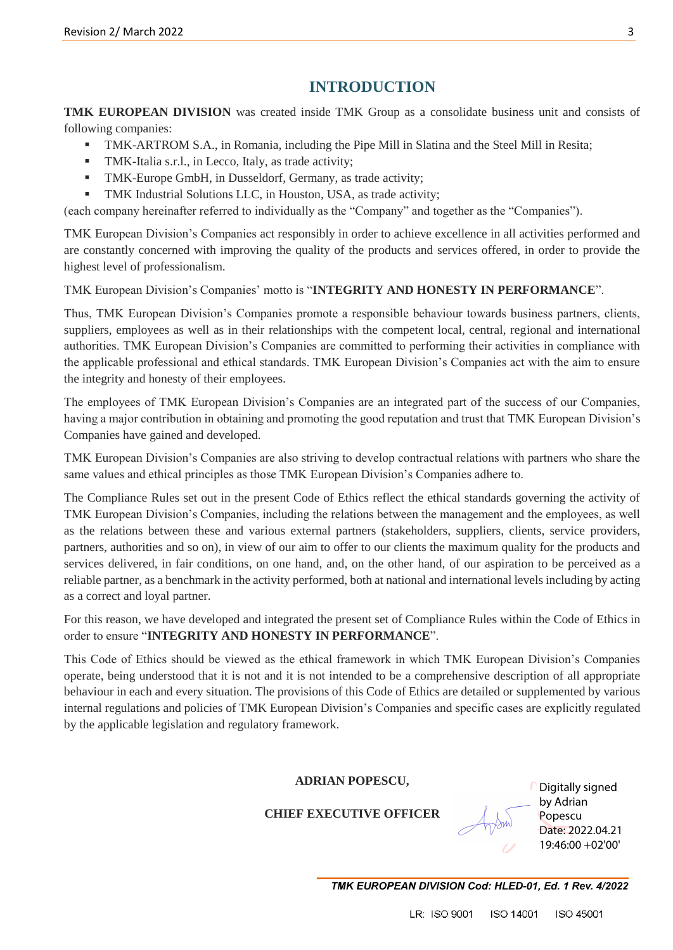## **INTRODUCTION**

**TMK EUROPEAN DIVISION** was created inside TMK Group as a consolidate business unit and consists of following companies:

- TMK-ARTROM S.A., in Romania, including the Pipe Mill in Slatina and the Steel Mill in Resita;
- **TMK-Italia s.r.l., in Lecco, Italy, as trade activity;**
- **TMK-Europe GmbH, in Dusseldorf, Germany, as trade activity;**
- TMK Industrial Solutions LLC, in Houston, USA, as trade activity;

(each company hereinafter referred to individually as the "Company" and together as the "Companies").

TMK European Division's Companies act responsibly in order to achieve excellence in all activities performed and are constantly concerned with improving the quality of the products and services offered, in order to provide the highest level of professionalism.

#### TMK European Division's Companies' motto is "**INTEGRITY AND HONESTY IN PERFORMANCE**".

Thus, TMK European Division's Companies promote a responsible behaviour towards business partners, clients, suppliers, employees as well as in their relationships with the competent local, central, regional and international authorities. TMK European Division's Companies are committed to performing their activities in compliance with the applicable professional and ethical standards. TMK European Division's Companies act with the aim to ensure the integrity and honesty of their employees.

The employees of TMK European Division's Companies are an integrated part of the success of our Companies, having a major contribution in obtaining and promoting the good reputation and trust that TMK European Division's Companies have gained and developed.

TMK European Division's Companies are also striving to develop contractual relations with partners who share the same values and ethical principles as those TMK European Division's Companies adhere to.

The Compliance Rules set out in the present Code of Ethics reflect the ethical standards governing the activity of TMK European Division's Companies, including the relations between the management and the employees, as well as the relations between these and various external partners (stakeholders, suppliers, clients, service providers, partners, authorities and so on), in view of our aim to offer to our clients the maximum quality for the products and services delivered, in fair conditions, on one hand, and, on the other hand, of our aspiration to be perceived as a reliable partner, as a benchmark in the activity performed, both at national and international levels including by acting as a correct and loyal partner.

For this reason, we have developed and integrated the present set of Compliance Rules within the Code of Ethics in order to ensure "**INTEGRITY AND HONESTY IN PERFORMANCE**".

This Code of Ethics should be viewed as the ethical framework in which TMK European Division's Companies operate, being understood that it is not and it is not intended to be a comprehensive description of all appropriate behaviour in each and every situation. The provisions of this Code of Ethics are detailed or supplemented by various internal regulations and policies of TMK European Division's Companies and specific cases are explicitly regulated by the applicable legislation and regulatory framework.

#### **ADRIAN POPESCU,**

#### **CHIEF EXECUTIVE OFFICER**

Digitally signed by Adrian Popescu Date: 2022.04.21 19:46:00 +02'00'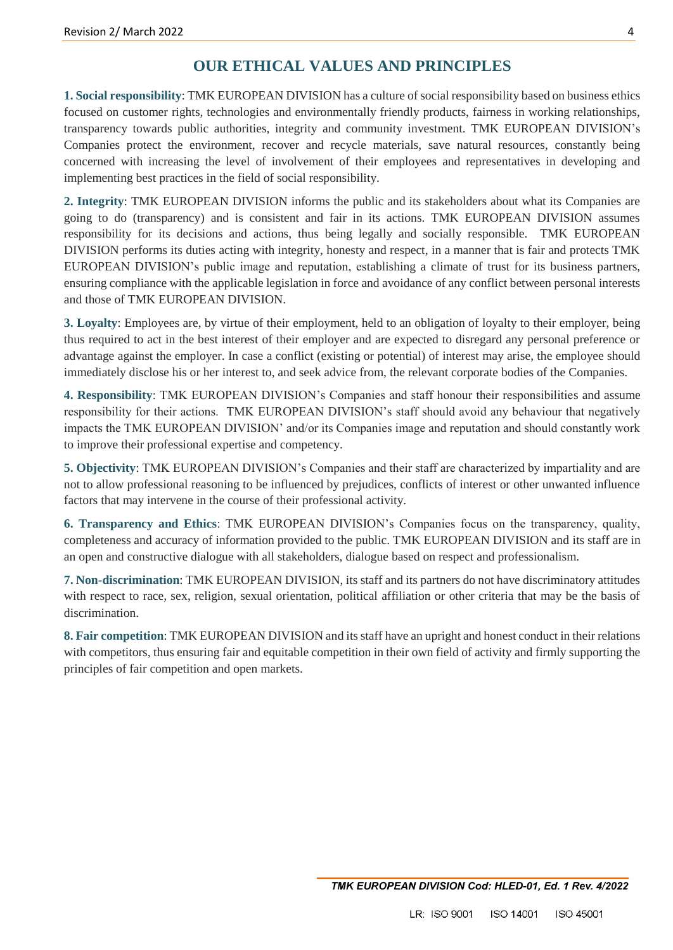#### **OUR ETHICAL VALUES AND PRINCIPLES**

**1. Social responsibility**: TMK EUROPEAN DIVISION has a culture of social responsibility based on business ethics focused on customer rights, technologies and environmentally friendly products, fairness in working relationships, transparency towards public authorities, integrity and community investment. TMK EUROPEAN DIVISION's Companies protect the environment, recover and recycle materials, save natural resources, constantly being concerned with increasing the level of involvement of their employees and representatives in developing and implementing best practices in the field of social responsibility.

**2. Integrity**: TMK EUROPEAN DIVISION informs the public and its stakeholders about what its Companies are going to do (transparency) and is consistent and fair in its actions. TMK EUROPEAN DIVISION assumes responsibility for its decisions and actions, thus being legally and socially responsible. TMK EUROPEAN DIVISION performs its duties acting with integrity, honesty and respect, in a manner that is fair and protects TMK EUROPEAN DIVISION's public image and reputation, establishing a climate of trust for its business partners, ensuring compliance with the applicable legislation in force and avoidance of any conflict between personal interests and those of TMK EUROPEAN DIVISION.

**3. Loyalty**: Employees are, by virtue of their employment, held to an obligation of loyalty to their employer, being thus required to act in the best interest of their employer and are expected to disregard any personal preference or advantage against the employer. In case a conflict (existing or potential) of interest may arise, the employee should immediately disclose his or her interest to, and seek advice from, the relevant corporate bodies of the Companies.

**4. Responsibility**: TMK EUROPEAN DIVISION's Companies and staff honour their responsibilities and assume responsibility for their actions. TMK EUROPEAN DIVISION's staff should avoid any behaviour that negatively impacts the TMK EUROPEAN DIVISION' and/or its Companies image and reputation and should constantly work to improve their professional expertise and competency.

**5. Objectivity**: TMK EUROPEAN DIVISION's Companies and their staff are characterized by impartiality and are not to allow professional reasoning to be influenced by prejudices, conflicts of interest or other unwanted influence factors that may intervene in the course of their professional activity.

**6. Transparency and Ethics**: TMK EUROPEAN DIVISION's Companies focus on the transparency, quality, completeness and accuracy of information provided to the public. TMK EUROPEAN DIVISION and its staff are in an open and constructive dialogue with all stakeholders, dialogue based on respect and professionalism.

**7. Non-discrimination**: TMK EUROPEAN DIVISION, its staff and its partners do not have discriminatory attitudes with respect to race, sex, religion, sexual orientation, political affiliation or other criteria that may be the basis of discrimination.

**8. Fair competition**: TMK EUROPEAN DIVISION and its staff have an upright and honest conduct in their relations with competitors, thus ensuring fair and equitable competition in their own field of activity and firmly supporting the principles of fair competition and open markets.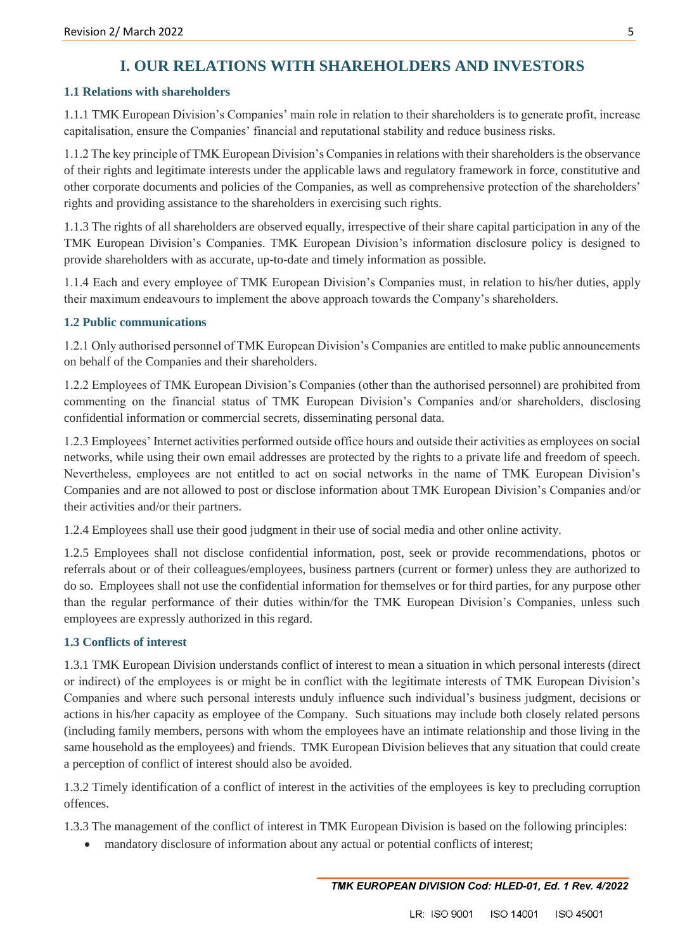## **I. OUR RELATIONS WITH SHAREHOLDERS AND INVESTORS**

#### **1.1 Relations with shareholders**

1.1.1 TMK European Division's Companies' main role in relation to their shareholders is to generate profit, increase capitalisation, ensure the Companies' financial and reputational stability and reduce business risks.

1.1.2 The key principle of TMK European Division's Companies in relations with their shareholders is the observance of their rights and legitimate interests under the applicable laws and regulatory framework in force, constitutive and other corporate documents and policies of the Companies, as well as comprehensive protection of the shareholders' rights and providing assistance to the shareholders in exercising such rights.

1.1.3 The rights of all shareholders are observed equally, irrespective of their share capital participation in any of the TMK European Division's Companies. TMK European Division's information disclosure policy is designed to provide shareholders with as accurate, up-to-date and timely information as possible.

1.1.4 Each and every employee of TMK European Division's Companies must, in relation to his/her duties, apply their maximum endeavours to implement the above approach towards the Company's shareholders.

#### **1.2 Public communications**

1.2.1 Only authorised personnel of TMK European Division's Companies are entitled to make public announcements on behalf of the Companies and their shareholders.

1.2.2 Employees of TMK European Division's Companies (other than the authorised personnel) are prohibited from commenting on the financial status of TMK European Division's Companies and/or shareholders, disclosing confidential information or commercial secrets, disseminating personal data.

1.2.3 Employees' Internet activities performed outside office hours and outside their activities as employees on social networks, while using their own email addresses are protected by the rights to a private life and freedom of speech. Nevertheless, employees are not entitled to act on social networks in the name of TMK European Division's Companies and are not allowed to post or disclose information about TMK European Division's Companies and/or their activities and/or their partners.

1.2.4 Employees shall use their good judgment in their use of social media and other online activity.

1.2.5 Employees shall not disclose confidential information, post, seek or provide recommendations, photos or referrals about or of their colleagues/employees, business partners (current or former) unless they are authorized to do so. Employees shall not use the confidential information for themselves or for third parties, for any purpose other than the regular performance of their duties within/for the TMK European Division's Companies, unless such employees are expressly authorized in this regard.

#### **1.3 Conflicts of interest**

1.3.1 TMK European Division understands conflict of interest to mean a situation in which personal interests (direct or indirect) of the employees is or might be in conflict with the legitimate interests of TMK European Division's Companies and where such personal interests unduly influence such individual's business judgment, decisions or actions in his/her capacity as employee of the Company. Such situations may include both closely related persons (including family members, persons with whom the employees have an intimate relationship and those living in the same household as the employees) and friends. TMK European Division believes that any situation that could create a perception of conflict of interest should also be avoided.

1.3.2 Timely identification of a conflict of interest in the activities of the employees is key to precluding corruption offences.

1.3.3 The management of the conflict of interest in TMK European Division is based on the following principles:

mandatory disclosure of information about any actual or potential conflicts of interest;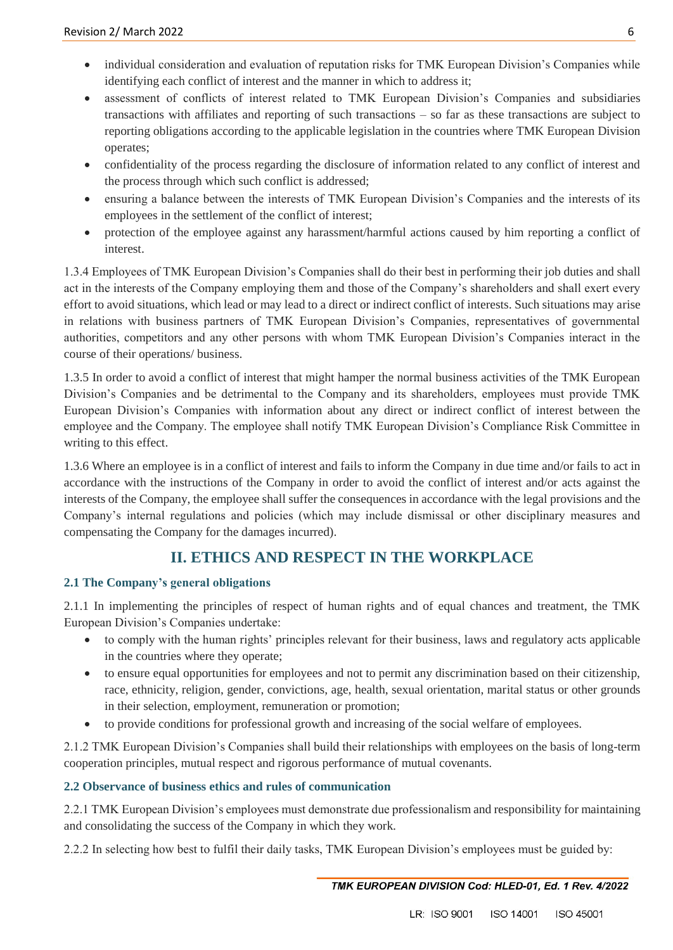- individual consideration and evaluation of reputation risks for TMK European Division's Companies while identifying each conflict of interest and the manner in which to address it;
- assessment of conflicts of interest related to TMK European Division's Companies and subsidiaries transactions with affiliates and reporting of such transactions – so far as these transactions are subject to reporting obligations according to the applicable legislation in the countries where TMK European Division operates;
- confidentiality of the process regarding the disclosure of information related to any conflict of interest and the process through which such conflict is addressed;
- ensuring a balance between the interests of TMK European Division's Companies and the interests of its employees in the settlement of the conflict of interest;
- protection of the employee against any harassment/harmful actions caused by him reporting a conflict of interest.

1.3.4 Employees of TMK European Division's Companies shall do their best in performing their job duties and shall act in the interests of the Company employing them and those of the Company's shareholders and shall exert every effort to avoid situations, which lead or may lead to a direct or indirect conflict of interests. Such situations may arise in relations with business partners of TMK European Division's Companies, representatives of governmental authorities, competitors and any other persons with whom TMK European Division's Companies interact in the course of their operations/ business.

1.3.5 In order to avoid a conflict of interest that might hamper the normal business activities of the TMK European Division's Companies and be detrimental to the Company and its shareholders, employees must provide TMK European Division's Companies with information about any direct or indirect conflict of interest between the employee and the Company. The employee shall notify TMK European Division's Compliance Risk Committee in writing to this effect.

1.3.6 Where an employee is in a conflict of interest and fails to inform the Company in due time and/or fails to act in accordance with the instructions of the Company in order to avoid the conflict of interest and/or acts against the interests of the Company, the employee shall suffer the consequences in accordance with the legal provisions and the Company's internal regulations and policies (which may include dismissal or other disciplinary measures and compensating the Company for the damages incurred).

## **II. ETHICS AND RESPECT IN THE WORKPLACE**

#### **2.1 The Company's general obligations**

2.1.1 In implementing the principles of respect of human rights and of equal chances and treatment, the TMK European Division's Companies undertake:

- to comply with the human rights' principles relevant for their business, laws and regulatory acts applicable in the countries where they operate;
- to ensure equal opportunities for employees and not to permit any discrimination based on their citizenship, race, ethnicity, religion, gender, convictions, age, health, sexual orientation, marital status or other grounds in their selection, employment, remuneration or promotion;
- to provide conditions for professional growth and increasing of the social welfare of employees.

2.1.2 TMK European Division's Companies shall build their relationships with employees on the basis of long-term cooperation principles, mutual respect and rigorous performance of mutual covenants.

#### **2.2 Observance of business ethics and rules of communication**

2.2.1 TMK European Division's employees must demonstrate due professionalism and responsibility for maintaining and consolidating the success of the Company in which they work.

2.2.2 In selecting how best to fulfil their daily tasks, TMK European Division's employees must be guided by: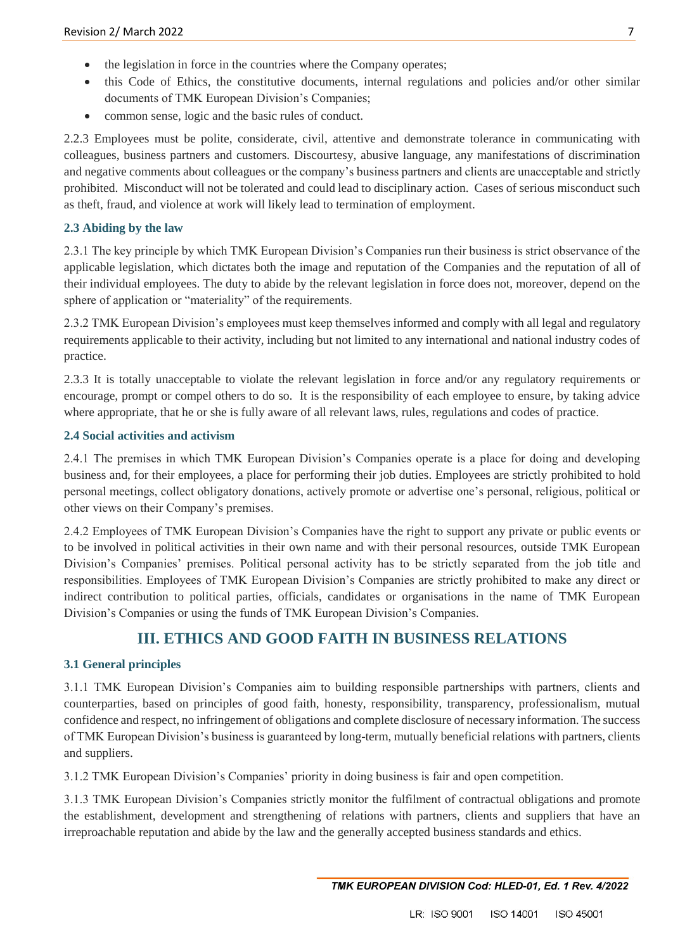- $\bullet$  the legislation in force in the countries where the Company operates;
- this Code of Ethics, the constitutive documents, internal regulations and policies and/or other similar documents of TMK European Division's Companies;
- common sense, logic and the basic rules of conduct.

2.2.3 Employees must be polite, considerate, civil, attentive and demonstrate tolerance in communicating with colleagues, business partners and customers. Discourtesy, abusive language, any manifestations of discrimination and negative comments about colleagues or the company's business partners and clients are unacceptable and strictly prohibited. Misconduct will not be tolerated and could lead to disciplinary action. Cases of serious misconduct such as theft, fraud, and violence at work will likely lead to termination of employment.

#### **2.3 Abiding by the law**

2.3.1 The key principle by which TMK European Division's Companies run their business is strict observance of the applicable legislation, which dictates both the image and reputation of the Companies and the reputation of all of their individual employees. The duty to abide by the relevant legislation in force does not, moreover, depend on the sphere of application or "materiality" of the requirements.

2.3.2 TMK European Division's employees must keep themselves informed and comply with all legal and regulatory requirements applicable to their activity, including but not limited to any international and national industry codes of practice.

2.3.3 It is totally unacceptable to violate the relevant legislation in force and/or any regulatory requirements or encourage, prompt or compel others to do so. It is the responsibility of each employee to ensure, by taking advice where appropriate, that he or she is fully aware of all relevant laws, rules, regulations and codes of practice.

#### **2.4 Social activities and activism**

2.4.1 The premises in which TMK European Division's Companies operate is a place for doing and developing business and, for their employees, a place for performing their job duties. Employees are strictly prohibited to hold personal meetings, collect obligatory donations, actively promote or advertise one's personal, religious, political or other views on their Company's premises.

2.4.2 Employees of TMK European Division's Companies have the right to support any private or public events or to be involved in political activities in their own name and with their personal resources, outside TMK European Division's Companies' premises. Political personal activity has to be strictly separated from the job title and responsibilities. Employees of TMK European Division's Companies are strictly prohibited to make any direct or indirect contribution to political parties, officials, candidates or organisations in the name of TMK European Division's Companies or using the funds of TMK European Division's Companies.

### **III. ETHICS AND GOOD FAITH IN BUSINESS RELATIONS**

#### **3.1 General principles**

3.1.1 TMK European Division's Companies aim to building responsible partnerships with partners, clients and counterparties, based on principles of good faith, honesty, responsibility, transparency, professionalism, mutual confidence and respect, no infringement of obligations and complete disclosure of necessary information. The success of TMK European Division's business is guaranteed by long-term, mutually beneficial relations with partners, clients and suppliers.

3.1.2 TMK European Division's Companies' priority in doing business is fair and open competition.

3.1.3 TMK European Division's Companies strictly monitor the fulfilment of contractual obligations and promote the establishment, development and strengthening of relations with partners, clients and suppliers that have an irreproachable reputation and abide by the law and the generally accepted business standards and ethics.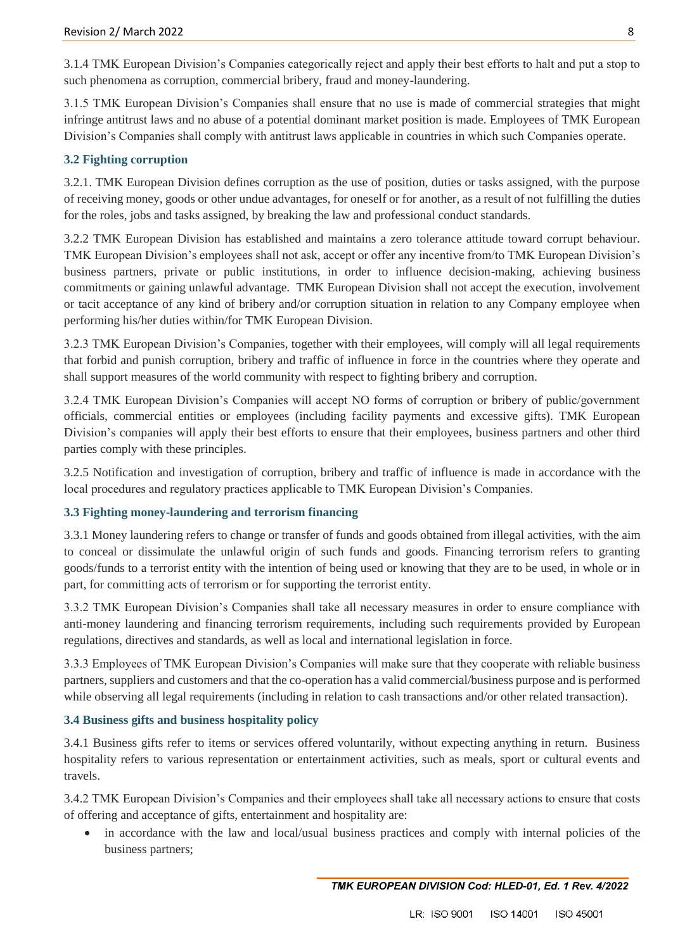3.1.4 TMK European Division's Companies categorically reject and apply their best efforts to halt and put a stop to such phenomena as corruption, commercial bribery, fraud and money-laundering.

3.1.5 TMK European Division's Companies shall ensure that no use is made of commercial strategies that might infringe antitrust laws and no abuse of a potential dominant market position is made. Employees of TMK European Division's Companies shall comply with antitrust laws applicable in countries in which such Companies operate.

#### **3.2 Fighting corruption**

3.2.1. TMK European Division defines corruption as the use of position, duties or tasks assigned, with the purpose of receiving money, goods or other undue advantages, for oneself or for another, as a result of not fulfilling the duties for the roles, jobs and tasks assigned, by breaking the law and professional conduct standards.

3.2.2 TMK European Division has established and maintains a zero tolerance attitude toward corrupt behaviour. TMK European Division's employees shall not ask, accept or offer any incentive from/to TMK European Division's business partners, private or public institutions, in order to influence decision-making, achieving business commitments or gaining unlawful advantage. TMK European Division shall not accept the execution, involvement or tacit acceptance of any kind of bribery and/or corruption situation in relation to any Company employee when performing his/her duties within/for TMK European Division.

3.2.3 TMK European Division's Companies, together with their employees, will comply will all legal requirements that forbid and punish corruption, bribery and traffic of influence in force in the countries where they operate and shall support measures of the world community with respect to fighting bribery and corruption.

3.2.4 TMK European Division's Companies will accept NO forms of corruption or bribery of public/government officials, commercial entities or employees (including facility payments and excessive gifts). TMK European Division's companies will apply their best efforts to ensure that their employees, business partners and other third parties comply with these principles.

3.2.5 Notification and investigation of corruption, bribery and traffic of influence is made in accordance with the local procedures and regulatory practices applicable to TMK European Division's Companies.

#### **3.3 Fighting money-laundering and terrorism financing**

3.3.1 Money laundering refers to change or transfer of funds and goods obtained from illegal activities, with the aim to conceal or dissimulate the unlawful origin of such funds and goods. Financing terrorism refers to granting goods/funds to a terrorist entity with the intention of being used or knowing that they are to be used, in whole or in part, for committing acts of terrorism or for supporting the terrorist entity.

3.3.2 TMK European Division's Companies shall take all necessary measures in order to ensure compliance with anti-money laundering and financing terrorism requirements, including such requirements provided by European regulations, directives and standards, as well as local and international legislation in force.

3.3.3 Employees of TMK European Division's Companies will make sure that they cooperate with reliable business partners, suppliers and customers and that the co-operation has a valid commercial/business purpose and is performed while observing all legal requirements (including in relation to cash transactions and/or other related transaction).

#### **3.4 Business gifts and business hospitality policy**

3.4.1 Business gifts refer to items or services offered voluntarily, without expecting anything in return. Business hospitality refers to various representation or entertainment activities, such as meals, sport or cultural events and travels.

3.4.2 TMK European Division's Companies and their employees shall take all necessary actions to ensure that costs of offering and acceptance of gifts, entertainment and hospitality are:

 in accordance with the law and local/usual business practices and comply with internal policies of the business partners;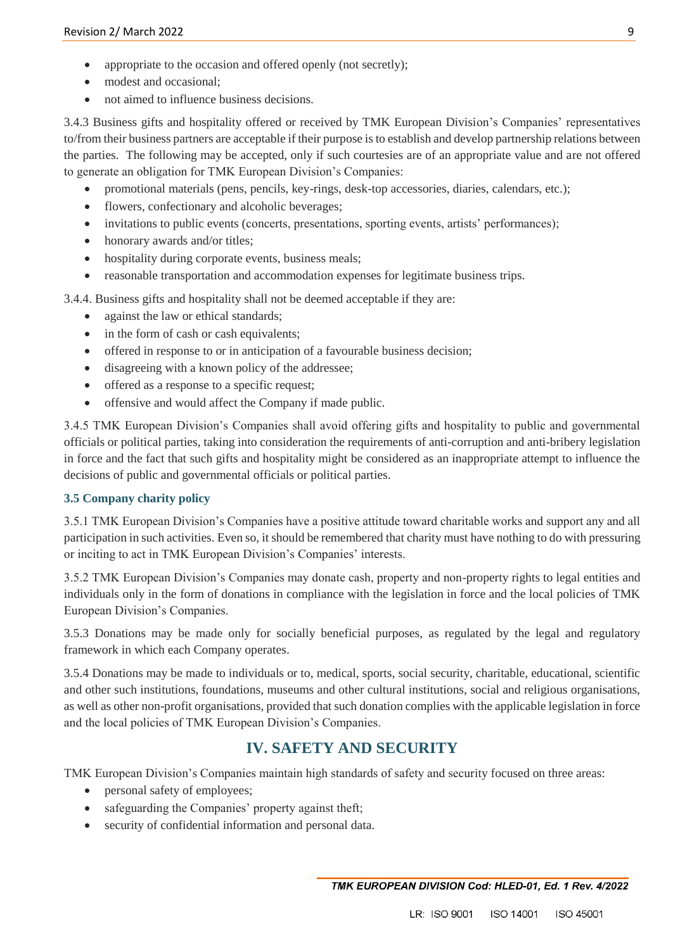- appropriate to the occasion and offered openly (not secretly);
- modest and occasional:
- not aimed to influence business decisions.

3.4.3 Business gifts and hospitality offered or received by TMK European Division's Companies' representatives to/from their business partners are acceptable if their purpose is to establish and develop partnership relations between the parties. The following may be accepted, only if such courtesies are of an appropriate value and are not offered to generate an obligation for TMK European Division's Companies:

- promotional materials (pens, pencils, key-rings, desk-top accessories, diaries, calendars, etc.);
- flowers, confectionary and alcoholic beverages;
- invitations to public events (concerts, presentations, sporting events, artists' performances);
- honorary awards and/or titles;
- hospitality during corporate events, business meals;
- reasonable transportation and accommodation expenses for legitimate business trips.

3.4.4. Business gifts and hospitality shall not be deemed acceptable if they are:

- against the law or ethical standards;
- in the form of cash or cash equivalents;
- offered in response to or in anticipation of a favourable business decision;
- disagreeing with a known policy of the addressee;
- offered as a response to a specific request;
- offensive and would affect the Company if made public.

3.4.5 TMK European Division's Companies shall avoid offering gifts and hospitality to public and governmental officials or political parties, taking into consideration the requirements of anti-corruption and anti-bribery legislation in force and the fact that such gifts and hospitality might be considered as an inappropriate attempt to influence the decisions of public and governmental officials or political parties.

#### **3.5 Company charity policy**

3.5.1 TMK European Division's Companies have a positive attitude toward charitable works and support any and all participation in such activities. Even so, it should be remembered that charity must have nothing to do with pressuring or inciting to act in TMK European Division's Companies' interests.

3.5.2 TMK European Division's Companies may donate cash, property and non-property rights to legal entities and individuals only in the form of donations in compliance with the legislation in force and the local policies of TMK European Division's Companies.

3.5.3 Donations may be made only for socially beneficial purposes, as regulated by the legal and regulatory framework in which each Company operates.

3.5.4 Donations may be made to individuals or to, medical, sports, social security, charitable, educational, scientific and other such institutions, foundations, museums and other cultural institutions, social and religious organisations, as well as other non-profit organisations, provided that such donation complies with the applicable legislation in force and the local policies of TMK European Division's Companies.

## **IV. SAFETY AND SECURITY**

TMK European Division's Companies maintain high standards of safety and security focused on three areas:

- personal safety of employees;
- safeguarding the Companies' property against theft;
- security of confidential information and personal data.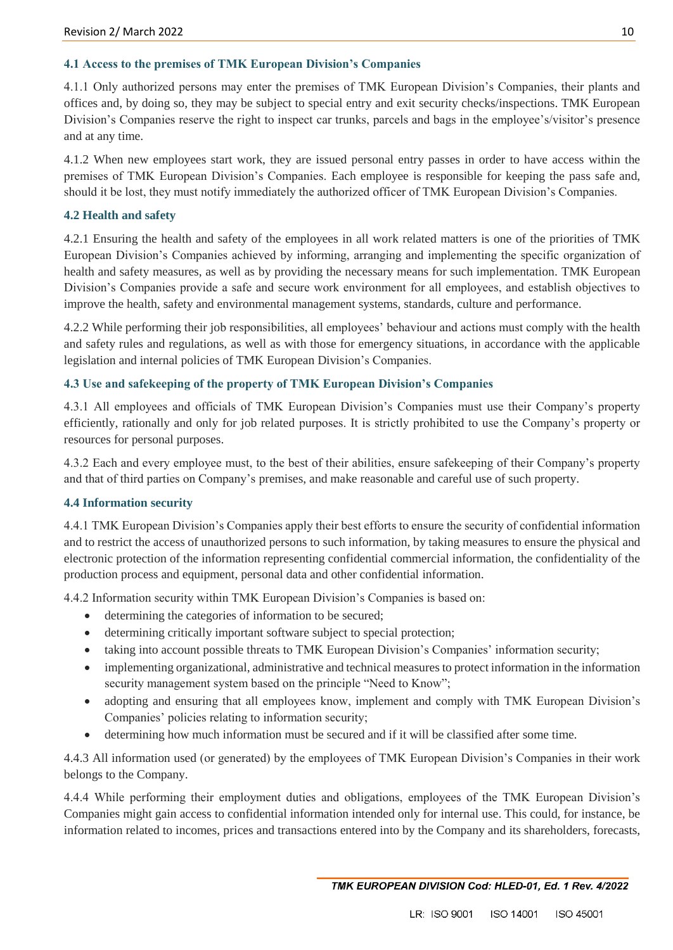#### **4.1 Access to the premises of TMK European Division's Companies**

4.1.1 Only authorized persons may enter the premises of TMK European Division's Companies, their plants and offices and, by doing so, they may be subject to special entry and exit security checks/inspections. TMK European Division's Companies reserve the right to inspect car trunks, parcels and bags in the employee's/visitor's presence and at any time.

4.1.2 When new employees start work, they are issued personal entry passes in order to have access within the premises of TMK European Division's Companies. Each employee is responsible for keeping the pass safe and, should it be lost, they must notify immediately the authorized officer of TMK European Division's Companies.

#### **4.2 Health and safety**

4.2.1 Ensuring the health and safety of the employees in all work related matters is one of the priorities of TMK European Division's Companies achieved by informing, arranging and implementing the specific organization of health and safety measures, as well as by providing the necessary means for such implementation. TMK European Division's Companies provide a safe and secure work environment for all employees, and establish objectives to improve the health, safety and environmental management systems, standards, culture and performance.

4.2.2 While performing their job responsibilities, all employees' behaviour and actions must comply with the health and safety rules and regulations, as well as with those for emergency situations, in accordance with the applicable legislation and internal policies of TMK European Division's Companies.

#### **4.3 Use and safekeeping of the property of TMK European Division's Companies**

4.3.1 All employees and officials of TMK European Division's Companies must use their Company's property efficiently, rationally and only for job related purposes. It is strictly prohibited to use the Company's property or resources for personal purposes.

4.3.2 Each and every employee must, to the best of their abilities, ensure safekeeping of their Company's property and that of third parties on Company's premises, and make reasonable and careful use of such property.

#### **4.4 Information security**

4.4.1 TMK European Division's Companies apply their best efforts to ensure the security of confidential information and to restrict the access of unauthorized persons to such information, by taking measures to ensure the physical and electronic protection of the information representing confidential commercial information, the confidentiality of the production process and equipment, personal data and other confidential information.

4.4.2 Information security within TMK European Division's Companies is based on:

- determining the categories of information to be secured;
- determining critically important software subject to special protection;
- taking into account possible threats to TMK European Division's Companies' information security;
- implementing organizational, administrative and technical measures to protect information in the information security management system based on the principle "Need to Know";
- adopting and ensuring that all employees know, implement and comply with TMK European Division's Companies' policies relating to information security;
- determining how much information must be secured and if it will be classified after some time.

4.4.3 All information used (or generated) by the employees of TMK European Division's Companies in their work belongs to the Company.

4.4.4 While performing their employment duties and obligations, employees of the TMK European Division's Companies might gain access to confidential information intended only for internal use. This could, for instance, be information related to incomes, prices and transactions entered into by the Company and its shareholders, forecasts,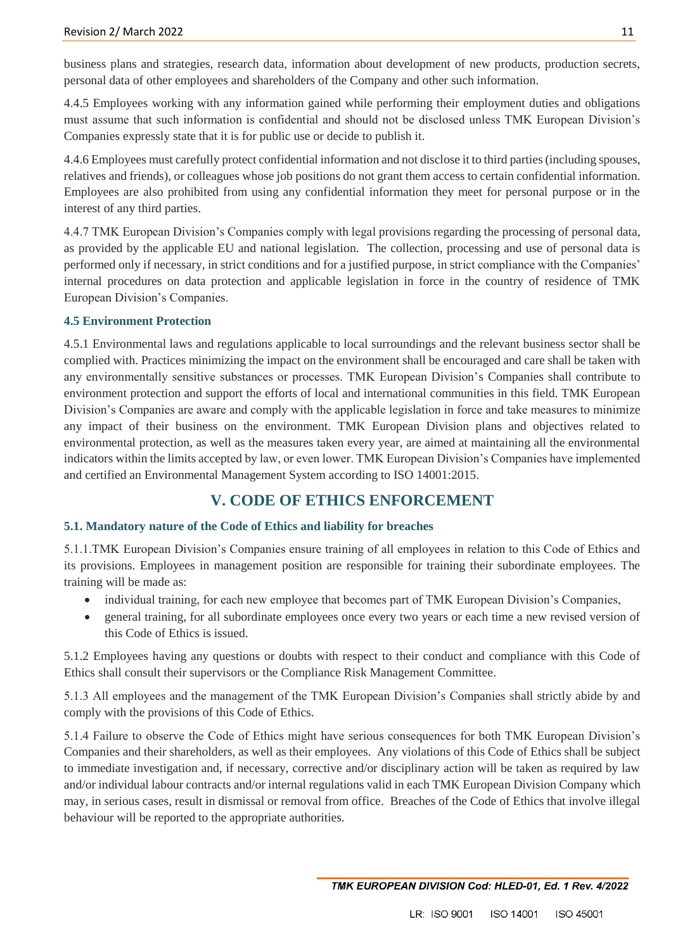business plans and strategies, research data, information about development of new products, production secrets, personal data of other employees and shareholders of the Company and other such information.

4.4.5 Employees working with any information gained while performing their employment duties and obligations must assume that such information is confidential and should not be disclosed unless TMK European Division's Companies expressly state that it is for public use or decide to publish it.

4.4.6 Employees must carefully protect confidential information and not disclose it to third parties (including spouses, relatives and friends), or colleagues whose job positions do not grant them access to certain confidential information. Employees are also prohibited from using any confidential information they meet for personal purpose or in the interest of any third parties.

4.4.7 TMK European Division's Companies comply with legal provisions regarding the processing of personal data, as provided by the applicable EU and national legislation. The collection, processing and use of personal data is performed only if necessary, in strict conditions and for a justified purpose, in strict compliance with the Companies' internal procedures on data protection and applicable legislation in force in the country of residence of TMK European Division's Companies.

#### **4.5 Environment Protection**

4.5.1 Environmental laws and regulations applicable to local surroundings and the relevant business sector shall be complied with. Practices minimizing the impact on the environment shall be encouraged and care shall be taken with any environmentally sensitive substances or processes. TMK European Division's Companies shall contribute to environment protection and support the efforts of local and international communities in this field. TMK European Division's Companies are aware and comply with the applicable legislation in force and take measures to minimize any impact of their business on the environment. TMK European Division plans and objectives related to environmental protection, as well as the measures taken every year, are aimed at maintaining all the environmental indicators within the limits accepted by law, or even lower. TMK European Division's Companies have implemented and certified an Environmental Management System according to ISO 14001:2015.

## **V. CODE OF ETHICS ENFORCEMENT**

#### **5.1. Mandatory nature of the Code of Ethics and liability for breaches**

5.1.1.TMK European Division's Companies ensure training of all employees in relation to this Code of Ethics and its provisions. Employees in management position are responsible for training their subordinate employees. The training will be made as:

- individual training, for each new employee that becomes part of TMK European Division's Companies,
- general training, for all subordinate employees once every two years or each time a new revised version of this Code of Ethics is issued.

5.1.2 Employees having any questions or doubts with respect to their conduct and compliance with this Code of Ethics shall consult their supervisors or the Compliance Risk Management Committee.

5.1.3 All employees and the management of the TMK European Division's Companies shall strictly abide by and comply with the provisions of this Code of Ethics.

5.1.4 Failure to observe the Code of Ethics might have serious consequences for both TMK European Division's Companies and their shareholders, as well as their employees. Any violations of this Code of Ethics shall be subject to immediate investigation and, if necessary, corrective and/or disciplinary action will be taken as required by law and/or individual labour contracts and/or internal regulations valid in each TMK European Division Company which may, in serious cases, result in dismissal or removal from office. Breaches of the Code of Ethics that involve illegal behaviour will be reported to the appropriate authorities.